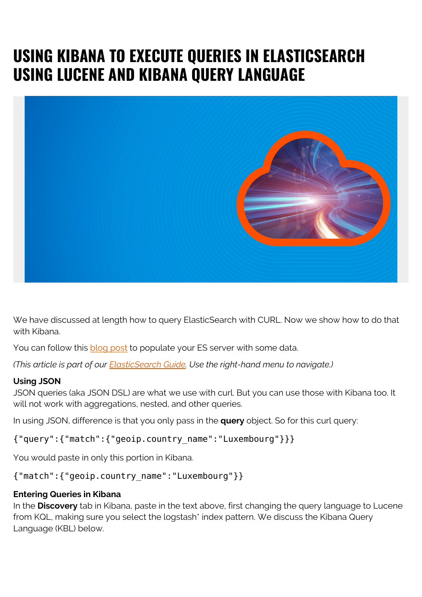# **USING KIBANA TO EXECUTE QUERIES IN ELASTICSEARCH USING LUCENE AND KIBANA QUERY LANGUAGE**



We have discussed at length how to query ElasticSearch with CURL. Now we show how to do that with Kibana.

You can follow this [blog post](https://blogs.bmc.com/blogs/elasticsearch-logs-beats-logstash/) to populate your ES server with some data.

*(This article is part of our [ElasticSearch Guide.](https://blogs.bmc.com/blogs/elasticsearch-introduction/) Use the right-hand menu to navigate.)*

#### **Using JSON**

JSON queries (aka JSON DSL) are what we use with curl. But you can use those with Kibana too. It will not work with aggregations, nested, and other queries.

In using JSON, difference is that you only pass in the **query** object. So for this curl query:

{"query":{"match":{"geoip.country\_name":"Luxembourg"}}}

You would paste in only this portion in Kibana.

#### {"match":{"geoip.country\_name":"Luxembourg"}}

#### **Entering Queries in Kibana**

In the **Discovery** tab in Kibana, paste in the text above, first changing the query language to Lucene from KQL, making sure you select the logstash\* index pattern. We discuss the Kibana Query Language (KBL) below.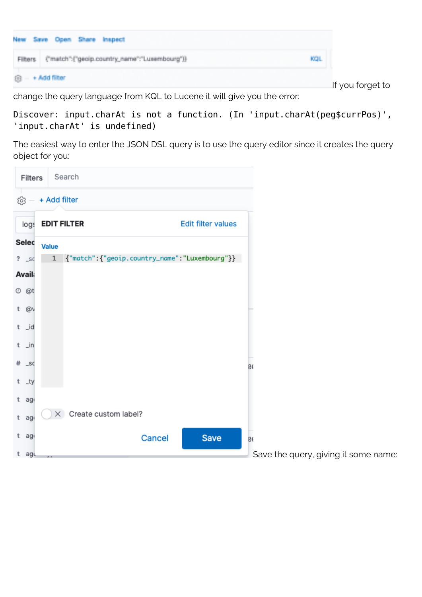

If you forget to

change the query language from KQL to Lucene it will give you the error:

```
Discover: input.charAt is not a function. (In 'input.charAt(peg$currPos)',
'input.charAt' is undefined)
```
The easiest way to enter the JSON DSL query is to use the query editor since it creates the query object for you:

| Filters             |              |              | Search                        |                                                  |                           |          |                                      |
|---------------------|--------------|--------------|-------------------------------|--------------------------------------------------|---------------------------|----------|--------------------------------------|
| ශ                   |              | + Add filter |                               |                                                  |                           |          |                                      |
| logs                |              |              | <b>EDIT FILTER</b>            |                                                  | <b>Edit filter values</b> |          |                                      |
| Selec               | <b>Value</b> |              |                               |                                                  |                           |          |                                      |
| $?$ _so             |              | $1\,$        |                               | ['"match": {"geoip.country_name": "Luxembourg"}} |                           |          |                                      |
| <b>Avail:</b>       |              |              |                               |                                                  |                           |          |                                      |
| O @t                |              |              |                               |                                                  |                           |          |                                      |
| t @v                |              |              |                               |                                                  |                           |          |                                      |
| $t$ _id             |              |              |                               |                                                  |                           |          |                                      |
| $t \quad \exists n$ |              |              |                               |                                                  |                           |          |                                      |
|                     |              |              |                               |                                                  |                           |          |                                      |
| $#$ _sc             |              |              |                               |                                                  |                           | <b>B</b> |                                      |
| $t - ty$            |              |              |                               |                                                  |                           |          |                                      |
| $t$ ago             |              |              |                               |                                                  |                           |          |                                      |
| $t$ ago             |              |              | $\times$ Create custom label? |                                                  |                           |          |                                      |
| $t$ ago             |              |              |                               | Cancel                                           | Save                      | Ø6       |                                      |
| t agu               |              |              |                               |                                                  |                           |          | Save the query, giving it some name: |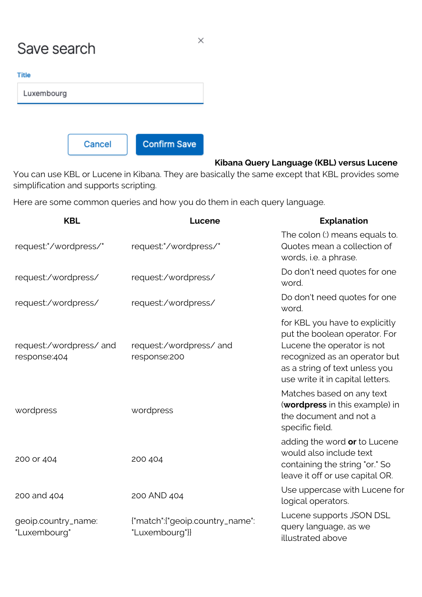## Save search

| ٠ |     | ш      | ÷ |
|---|-----|--------|---|
|   |     |        | M |
|   | . . | ٠      |   |
|   |     | $\sim$ |   |

| шe         |  |  |
|------------|--|--|
| Luxembourg |  |  |
|            |  |  |
|            |  |  |
|            |  |  |

Cancel

**Confirm Save** 

### **Kibana Query Language (KBL) versus Lucene**

You can use KBL or Lucene in Kibana. They are basically the same except that KBL provides some simplification and supports scripting.

Here are some common queries and how you do them in each query language.

| <b>KBL</b>                             | Lucene                                             | <b>Explanation</b>                                                                                                                                                                                   |
|----------------------------------------|----------------------------------------------------|------------------------------------------------------------------------------------------------------------------------------------------------------------------------------------------------------|
| request:"/wordpress/"                  | request:"/wordpress/"                              | The colon (:) means equals to.<br>Quotes mean a collection of<br>words, i.e. a phrase.                                                                                                               |
| request:/wordpress/                    | request:/wordpress/                                | Do don't need quotes for one<br>word.                                                                                                                                                                |
| request:/wordpress/                    | request:/wordpress/                                | Do don't need quotes for one<br>word.                                                                                                                                                                |
| request:/wordpress/and<br>response:404 | request:/wordpress/and<br>response:200             | for KBL you have to explicitly<br>put the boolean operator. For<br>Lucene the operator is not<br>recognized as an operator but<br>as a string of text unless you<br>use write it in capital letters. |
| wordpress                              | wordpress                                          | Matches based on any text<br>(wordpress in this example) in<br>the document and not a<br>specific field.                                                                                             |
| 200 or 404                             | 200 404                                            | adding the word or to Lucene<br>would also include text<br>containing the string "or." So<br>leave it off or use capital OR.                                                                         |
| 200 and 404                            | 200 AND 404                                        | Use uppercase with Lucene for<br>logical operators.                                                                                                                                                  |
| geoip.country_name:<br>"Luxembourg"    | {"match": {"geoip.country_name":<br>"Luxembourg"}} | Lucene supports JSON DSL<br>query language, as we<br>illustrated above                                                                                                                               |